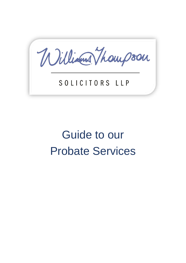William Thompson

# SOLICITORS LLP

# Guide to our Probate Services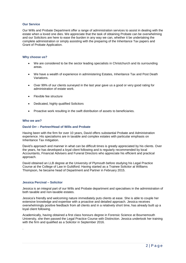#### **Our Service**

Our Wills and Probate Department offer a range of administration services to assist in dealing with the estate when a loved one dies. We appreciate that the task of obtaining Probate can be overwhelming and our Solicitors are here to ease the burden in any way we can, whether it be undertaking the complete administration or simply assisting with the preparing of the Inheritance Tax papers and Grant of Probate Application.

#### **Why choose us?**

- We are considered to be the sector leading specialists in Christchurch and its surrounding areas.
- We have a wealth of experience in administering Estates, Inheritance Tax and Post Death Variations.
- Over 99% of our clients surveyed in the last year gave us a good or very good rating for administration of estate work.
- Flexible fee structure
- Dedicated, highly qualified Solicitors
- Proactive work resulting in the swift distribution of assets to beneficiaries.

#### **Who we are?**

#### **David Orr – Partner/Head of Wills and Probate**

Having been with the firm for over 10 years, David offers substantial Probate and Administration experience. His specialisms are in taxable and complex estates with particular emphasis on Inheritance Tax mitigation.

David's approach and manner in what can be difficult times is greatly appreciated by his clients. Over the years, he has developed a loyal client following and is regularly recommended by local Accountants, Financial Advisers and Funeral Directors who appreciate his efficient and practical approach.

David obtained an LLB degree at the University of Plymouth before studying his Legal Practice Course at the College of Law in Guildford. Having started as a Trainee Solicitor at Williams Thompson, he became head of Department and Partner in February 2015.

#### **Jessica Percival – Solicitor**

.

Jessica is an integral part of our Wills and Probate department and specialises in the administration of both taxable and non-taxable estates.

Jessica's friendly and welcoming nature immediately puts clients at ease. She is able to couple her extensive knowledge and expertise with a proactive and detailed approach. Jessica receives overwhelmingly positive feedback from all clients and in a relatively short time, has already built up a loyal client following.

Academically, having obtained a first class honours degree in Forensic Science at Bournemouth University, she then passed the Legal Practice Course with Distinction. Jessica undertook her training with the firm and qualified as a Solicitor in September 2016.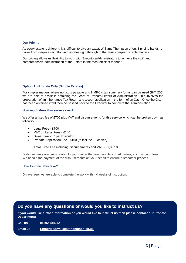#### **Our Pricing**

As every estate is different, it is difficult to give an exact. Williams Thompson offers 3 pricing bands to cover from simple straightforward estates right through to the most complex taxable matters.

Our pricing allows us flexibility to work with Executors/Administrators to achieve the swift and comprehensive administration of the Estate in the most efficient manner.

#### **Option A - Probate Only (Simple Estates)**

For simpler matters where no tax is payable and HMRC's tax summary forms can be used (IHT 205) we are able to assist in obtaining the Grant of Probate/Letters of Administration. This involves the preparation of an Inheritance Tax Return and a court application in the form of an Oath. Once the Grant has been obtained it will then be passed back to the Executor to complete the Administration.

#### **How much does this service cost?**

We offer a fixed fee of £700 plus VAT and disbursements for this service which can be broken down as follows:-

- Legal Fees £700
- VAT on Legal Fees £140
- Swear Fee £7 per Executor
- Probate Application Fee £160 (to include 10 copies)

Total Fixed Fee including disbursements and VAT:- £1,007.00

Disbursements are costs related to your matter that are payable to third parties, such as court fees. We handle the payment of the disbursements on your behalf to ensure a smoother process.

#### **How long will this take?**

On average, we are able to complete the work within 4 weeks of instruction.

### **Do you have any questions or would you like to instruct us?**

**If you would like further information or you would like to instruct us then please contact our Probate Department:-**

**Call us 01202 484242**

**Email us [Enquiries@williamsthompson.co.uk](mailto:Enquiries@williamsthompson.co.uk)**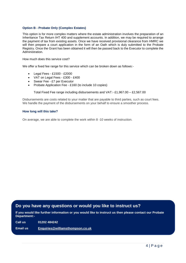#### **Option B - Probate Only (Complex Estates)**

This option is for more complex matters where the estate administration involves the preparation of an Inheritance Tax Return IHT 400 and supplement accounts. In addition, we may be required to arrange the payment of tax from existing assets. Once we have received provisional clearance from HMRC we will then prepare a court application in the form of an Oath which is duly submitted to the Probate Registry. Once the Grant has been obtained it will then be passed back to the Executor to complete the Administration.

How much does this service cost?

We offer a fixed fee range for this service which can be broken down as follows:-

- Legal Fees £1500 £2000
- VAT on Legal Fees £300 £400
- Swear Fee £7 per Executor
- Probate Application Fee £160 (to include 10 copies)

Total Fixed Fee range including disbursements and VAT:- £1,967.00 – £2,567.00

Disbursements are costs related to your matter that are payable to third parties, such as court fees. We handle the payment of the disbursements on your behalf to ensure a smoother process.

#### **How long will this take?**

On average, we are able to complete the work within 8 -10 weeks of instruction.

# **Do you have any questions or would you like to instruct us?**

**If you would like further information or you would like to instruct us then please contact our Probate Department:-**

**Call us 01202 484242**

**Email us [Enquiries@williamsthompson.co.uk](mailto:Enquiries@williamsthompson.co.uk)**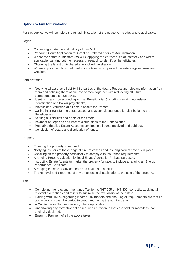#### **Option C – Full Administration**

For this service we will complete the full administration of the estate to include, where applicable:-

Legal:-

- Confirming existence and validity of Last Will.
- Preparing Court Application for Grant of Probate/Letters of Administration.
- Where the estate is Intestate (no Will), applying the correct rules of Intestacy and where applicable, carrying out the necessary research to identify all beneficiaries.
- Obtaining the Grant of Probate/Letters of Administration.
- Where applicable, placing all Statutory notices which protect the estate against unknown Creditors.

#### Administration

- Notifying all asset and liability third parties of the death. Requesting relevant information from them and notifying them of our involvement together with redirecting all future correspondence to ourselves.
- Identifying and corresponding with all Beneficiaries (including carrying out relevant identification and Bankruptcy checks)
- Professional valuation of all estate assets for Probate.
- Calling in or transferring estate assets and accumulating funds for distribution to the Beneficiaries.
- Settling all liabilities and debts of the estate.
- Payment of Legacies and interim distributions to the Beneficiaries.
- Preparing detailed Estate Accounts confirming all sums received and paid out.
- Conclusion of estate and distribution of funds.

#### Property

- Ensuring the property is secured
- Notifying insurers of the change of circumstances and insuring correct cover is in place.
- Checking on the property periodically to comply with Insurance requirements.
- Arranging Probate valuation by local Estate Agents for Probate purposes.
- Instructing Estate Agents to market the property for sale, to include arranging an Energy Performance Certificate.
- Arranging the sale of any contents and chattels at auction.
- The removal and clearance of any un-saleable chattels prior to the sale of the property.

#### Tax

- Completing the relevant Inheritance Tax forms (IHT 205 or IHT 400) correctly, applying all relevant exemptions and reliefs to minimise the tax liability of the estate.
- Liaising with HMRC regarding Income Tax matters and ensuring all requirements are met i.e. tax returns to cover the period to death and during the administration.
- A Capital Gains Tax submission, where applicable.
- Undertaking any corrective action required i.e. where assets are sold for more/less than originally declared.
- Ensuring Payment of all the above taxes.